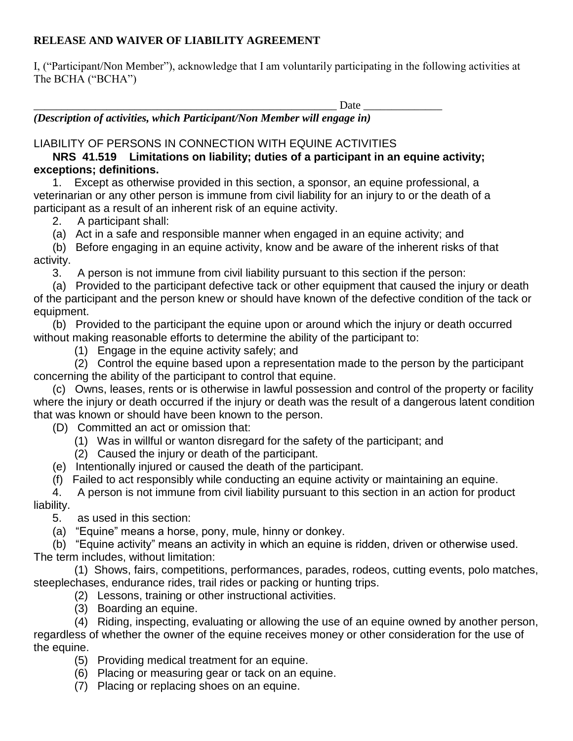## **RELEASE AND WAIVER OF LIABILITY AGREEMENT**

I, ("Participant/Non Member"), acknowledge that I am voluntarily participating in the following activities at The BCHA ("BCHA")

 $\text{Date}$ 

*(Description of activities, which Participant/Non Member will engage in)* 

## LIABILITY OF PERSONS IN CONNECTION WITH EQUINE ACTIVITIES

 **NRS 41.519 Limitations on liability; duties of a participant in an equine activity; exceptions; definitions.**

 1. Except as otherwise provided in this section, a sponsor, an equine professional, a veterinarian or any other person is immune from civil liability for an injury to or the death of a participant as a result of an inherent risk of an equine activity.

2. A participant shall:

(a) Act in a safe and responsible manner when engaged in an equine activity; and

 (b) Before engaging in an equine activity, know and be aware of the inherent risks of that activity.

3. A person is not immune from civil liability pursuant to this section if the person:

 (a) Provided to the participant defective tack or other equipment that caused the injury or death of the participant and the person knew or should have known of the defective condition of the tack or equipment.

 (b) Provided to the participant the equine upon or around which the injury or death occurred without making reasonable efforts to determine the ability of the participant to:

(1) Engage in the equine activity safely; and

 (2) Control the equine based upon a representation made to the person by the participant concerning the ability of the participant to control that equine.

 (c) Owns, leases, rents or is otherwise in lawful possession and control of the property or facility where the injury or death occurred if the injury or death was the result of a dangerous latent condition that was known or should have been known to the person.

(D) Committed an act or omission that:

- (1) Was in willful or wanton disregard for the safety of the participant; and
- (2) Caused the injury or death of the participant.
- (e) Intentionally injured or caused the death of the participant.
- (f) Failed to act responsibly while conducting an equine activity or maintaining an equine.

 4. A person is not immune from civil liability pursuant to this section in an action for product liability.

5. as used in this section:

(a) "Equine" means a horse, pony, mule, hinny or donkey.

 (b) "Equine activity" means an activity in which an equine is ridden, driven or otherwise used. The term includes, without limitation:

 (1) Shows, fairs, competitions, performances, parades, rodeos, cutting events, polo matches, steeplechases, endurance rides, trail rides or packing or hunting trips.

- (2) Lessons, training or other instructional activities.
- (3) Boarding an equine.

 (4) Riding, inspecting, evaluating or allowing the use of an equine owned by another person, regardless of whether the owner of the equine receives money or other consideration for the use of the equine.

- (5) Providing medical treatment for an equine.
- (6) Placing or measuring gear or tack on an equine.
- (7) Placing or replacing shoes on an equine.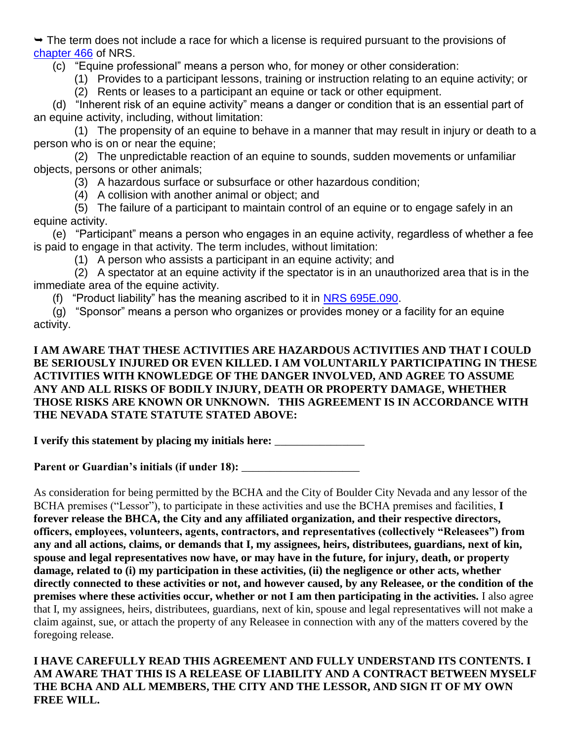$\rightarrow$  The term does not include a race for which a license is required pursuant to the provisions of [chapter 466](https://www.leg.state.nv.us/NRS/NRS-466.html#NRS466) of NRS.

(c) "Equine professional" means a person who, for money or other consideration:

(1) Provides to a participant lessons, training or instruction relating to an equine activity; or

(2) Rents or leases to a participant an equine or tack or other equipment.

 (d) "Inherent risk of an equine activity" means a danger or condition that is an essential part of an equine activity, including, without limitation:

 (1) The propensity of an equine to behave in a manner that may result in injury or death to a person who is on or near the equine;

 (2) The unpredictable reaction of an equine to sounds, sudden movements or unfamiliar objects, persons or other animals;

(3) A hazardous surface or subsurface or other hazardous condition;

(4) A collision with another animal or object; and

 (5) The failure of a participant to maintain control of an equine or to engage safely in an equine activity.

 (e) "Participant" means a person who engages in an equine activity, regardless of whether a fee is paid to engage in that activity. The term includes, without limitation:

(1) A person who assists a participant in an equine activity; and

 (2) A spectator at an equine activity if the spectator is in an unauthorized area that is in the immediate area of the equine activity.

(f) "Product liability" has the meaning ascribed to it in [NRS 695E.090.](https://www.leg.state.nv.us/NRS/NRS-695E.html#NRS695ESec090)

 (g) "Sponsor" means a person who organizes or provides money or a facility for an equine activity.

## **I AM AWARE THAT THESE ACTIVITIES ARE HAZARDOUS ACTIVITIES AND THAT I COULD BE SERIOUSLY INJURED OR EVEN KILLED. I AM VOLUNTARILY PARTICIPATING IN THESE ACTIVITIES WITH KNOWLEDGE OF THE DANGER INVOLVED, AND AGREE TO ASSUME ANY AND ALL RISKS OF BODILY INJURY, DEATH OR PROPERTY DAMAGE, WHETHER THOSE RISKS ARE KNOWN OR UNKNOWN. THIS AGREEMENT IS IN ACCORDANCE WITH THE NEVADA STATE STATUTE STATED ABOVE:**

**I verify this statement by placing my initials here:** \_\_\_\_\_\_\_\_\_\_\_\_\_\_\_\_

Parent or Guardian's initials (if under 18): **\_\_\_\_\_\_\_\_\_\_\_\_\_\_\_\_\_\_\_** 

As consideration for being permitted by the BCHA and the City of Boulder City Nevada and any lessor of the BCHA premises ("Lessor"), to participate in these activities and use the BCHA premises and facilities, **I forever release the BHCA, the City and any affiliated organization, and their respective directors, officers, employees, volunteers, agents, contractors, and representatives (collectively "Releasees") from any and all actions, claims, or demands that I, my assignees, heirs, distributees, guardians, next of kin, spouse and legal representatives now have, or may have in the future, for injury, death, or property damage, related to (i) my participation in these activities, (ii) the negligence or other acts, whether directly connected to these activities or not, and however caused, by any Releasee, or the condition of the premises where these activities occur, whether or not I am then participating in the activities.** I also agree that I, my assignees, heirs, distributees, guardians, next of kin, spouse and legal representatives will not make a claim against, sue, or attach the property of any Releasee in connection with any of the matters covered by the foregoing release.

**I HAVE CAREFULLY READ THIS AGREEMENT AND FULLY UNDERSTAND ITS CONTENTS. I AM AWARE THAT THIS IS A RELEASE OF LIABILITY AND A CONTRACT BETWEEN MYSELF THE BCHA AND ALL MEMBERS, THE CITY AND THE LESSOR, AND SIGN IT OF MY OWN FREE WILL.**